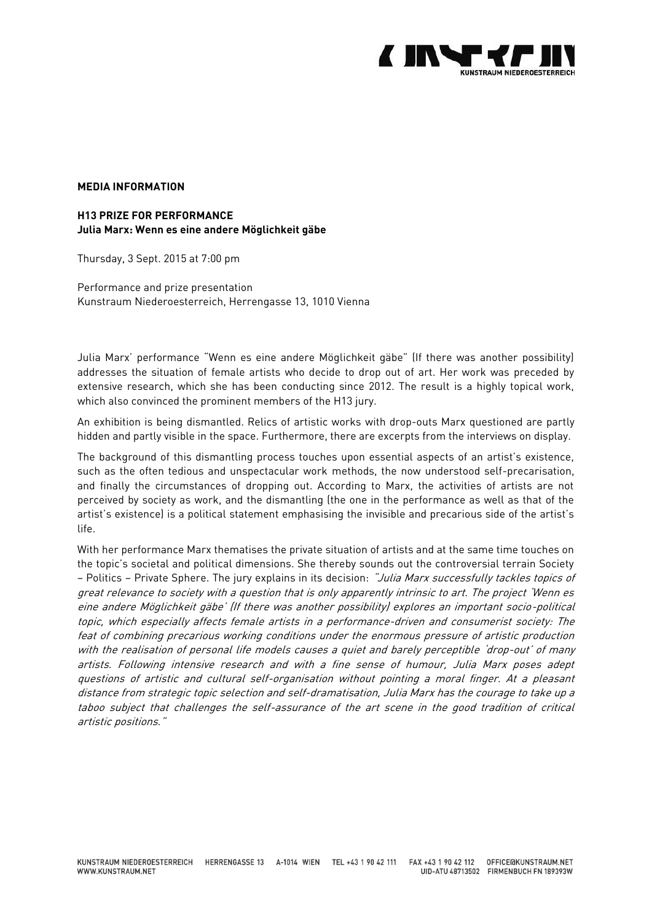

# **MEDIA INFORMATION**

#### **H13 PRIZE FOR PERFORMANCE Julia Marx: Wenn es eine andere Möglichkeit gäbe**

Thursday, 3 Sept. 2015 at 7:00 pm

Performance and prize presentation Kunstraum Niederoesterreich, Herrengasse 13, 1010 Vienna

Julia Marx' performance "Wenn es eine andere Möglichkeit gäbe" (If there was another possibility) addresses the situation of female artists who decide to drop out of art. Her work was preceded by extensive research, which she has been conducting since 2012. The result is a highly topical work, which also convinced the prominent members of the H13 jury.

An exhibition is being dismantled. Relics of artistic works with drop-outs Marx questioned are partly hidden and partly visible in the space. Furthermore, there are excerpts from the interviews on display.

The background of this dismantling process touches upon essential aspects of an artist's existence, such as the often tedious and unspectacular work methods, the now understood self-precarisation, and finally the circumstances of dropping out. According to Marx, the activities of artists are not perceived by society as work, and the dismantling (the one in the performance as well as that of the artist's existence) is a political statement emphasising the invisible and precarious side of the artist's life.

With her performance Marx thematises the private situation of artists and at the same time touches on the topic's societal and political dimensions. She thereby sounds out the controversial terrain Society - Politics - Private Sphere. The jury explains in its decision: "Julia Marx successfully tackles topics of great relevance to society with a question that is only apparently intrinsic to art. The project 'Wenn es eine andere Möglichkeit gäbe' (If there was another possibility) explores an important socio-political topic, which especially affects female artists in a performance-driven and consumerist society: The feat of combining precarious working conditions under the enormous pressure of artistic production with the realisation of personal life models causes a quiet and barely perceptible 'drop-out' of many artists. Following intensive research and with a fine sense of humour, Julia Marx poses adept questions of artistic and cultural self-organisation without pointing a moral finger. At a pleasant distance from strategic topic selection and self-dramatisation, Julia Marx has the courage to take up a taboo subject that challenges the self-assurance of the art scene in the good tradition of critical artistic positions."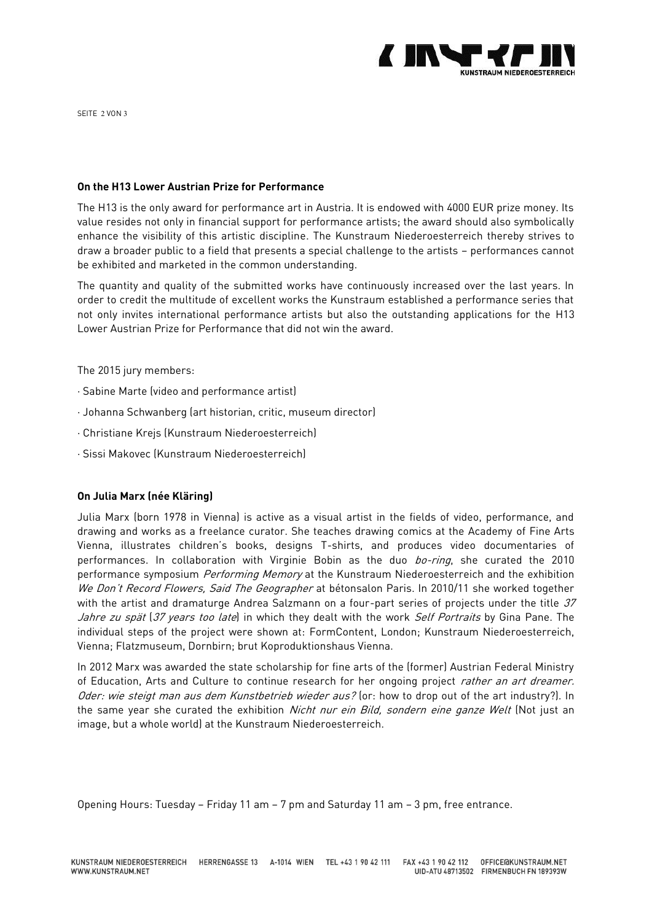

SEITE 2 VON 3

### **On the H13 Lower Austrian Prize for Performance**

The H13 is the only award for performance art in Austria. It is endowed with 4000 EUR prize money. Its value resides not only in financial support for performance artists; the award should also symbolically enhance the visibility of this artistic discipline. The Kunstraum Niederoesterreich thereby strives to draw a broader public to a field that presents a special challenge to the artists – performances cannot be exhibited and marketed in the common understanding.

The quantity and quality of the submitted works have continuously increased over the last years. In order to credit the multitude of excellent works the Kunstraum established a performance series that not only invites international performance artists but also the outstanding applications for the H13 Lower Austrian Prize for Performance that did not win the award.

The 2015 jury members:

- · Sabine Marte (video and performance artist)
- · Johanna Schwanberg (art historian, critic, museum director)
- · Christiane Krejs (Kunstraum Niederoesterreich)
- · Sissi Makovec (Kunstraum Niederoesterreich)

## **On Julia Marx (née Kläring)**

Julia Marx (born 1978 in Vienna) is active as a visual artist in the fields of video, performance, and drawing and works as a freelance curator. She teaches drawing comics at the Academy of Fine Arts Vienna, illustrates children's books, designs T-shirts, and produces video documentaries of performances. In collaboration with Virginie Bobin as the duo bo-ring, she curated the 2010 performance symposium *Performing Memory* at the Kunstraum Niederoesterreich and the exhibition We Don't Record Flowers, Said The Geographer at bétonsalon Paris. In 2010/11 she worked together with the artist and dramaturge Andrea Salzmann on a four-part series of projects under the title 37 Jahre zu spät (37 years too late) in which they dealt with the work Self Portraits by Gina Pane. The individual steps of the project were shown at: FormContent, London; Kunstraum Niederoesterreich, Vienna; Flatzmuseum, Dornbirn; brut Koproduktionshaus Vienna.

In 2012 Marx was awarded the state scholarship for fine arts of the (former) Austrian Federal Ministry of Education, Arts and Culture to continue research for her ongoing project *rather an art dreamer.* Oder: wie steigt man aus dem Kunstbetrieb wieder aus? (or: how to drop out of the art industry?). In the same year she curated the exhibition Nicht nur ein Bild, sondern eine ganze Welt (Not just an image, but a whole world) at the Kunstraum Niederoesterreich.

Opening Hours: Tuesday – Friday 11 am – 7 pm and Saturday 11 am – 3 pm, free entrance.